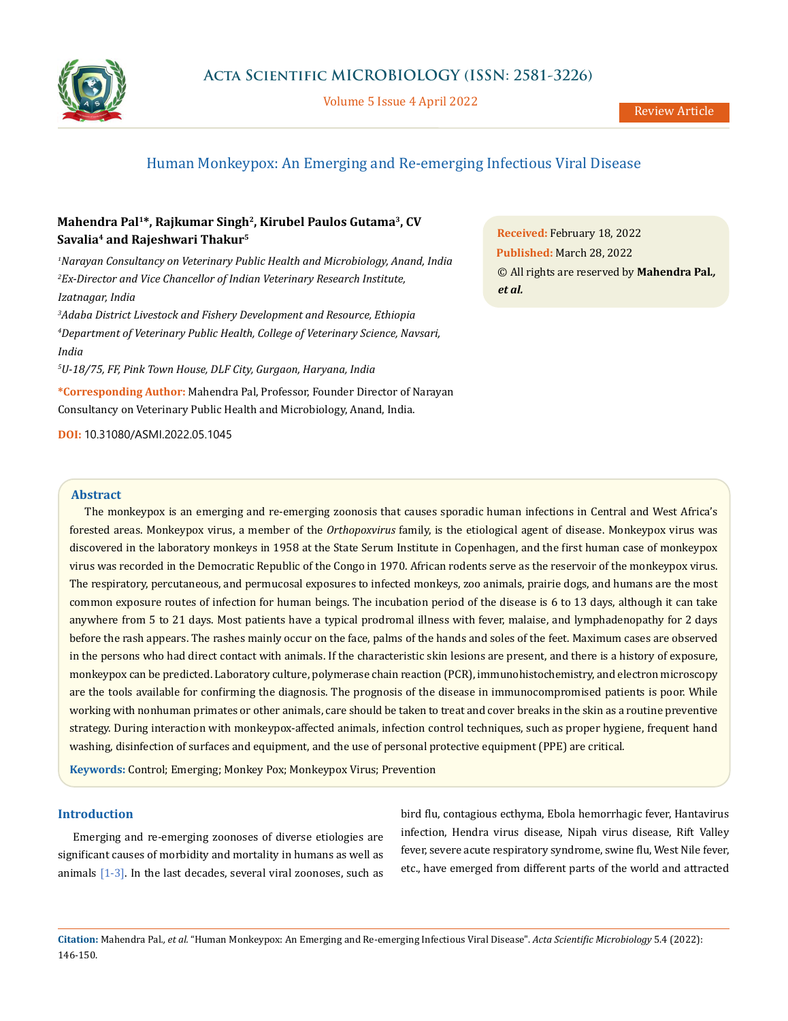

Volume 5 Issue 4 April 2022

# Human Monkeypox: An Emerging and Re-emerging Infectious Viral Disease

## **Mahendra Pal1\*, Rajkumar Singh2, Kirubel Paulos Gutama3, CV Savalia4 and Rajeshwari Thakur5**

*1 Narayan Consultancy on Veterinary Public Health and Microbiology, Anand, India 2 Ex-Director and Vice Chancellor of Indian Veterinary Research Institute, Izatnagar, India* 

*3 Adaba District Livestock and Fishery Development and Resource, Ethiopia 4 Department of Veterinary Public Health, College of Veterinary Science, Navsari, India* 

*5 U-18/75, FF, Pink Town House, DLF City, Gurgaon, Haryana, India*

**\*Corresponding Author:** Mahendra Pal, Professor, Founder Director of Narayan Consultancy on Veterinary Public Health and Microbiology, Anand, India.

**DOI:** [10.31080/ASMI.2022.05.1045](http:// actascientific.com/ASMI/pdf/ASMI-05-1045.pdf)

#### **Abstract**

The monkeypox is an emerging and re-emerging zoonosis that causes sporadic human infections in Central and West Africa's forested areas. Monkeypox virus, a member of the *Orthopoxvirus* family, is the etiological agent of disease. Monkeypox virus was discovered in the laboratory monkeys in 1958 at the State Serum Institute in Copenhagen, and the first human case of monkeypox virus was recorded in the Democratic Republic of the Congo in 1970. African rodents serve as the reservoir of the monkeypox virus. The respiratory, percutaneous, and permucosal exposures to infected monkeys, zoo animals, prairie dogs, and humans are the most common exposure routes of infection for human beings. The incubation period of the disease is 6 to 13 days, although it can take anywhere from 5 to 21 days. Most patients have a typical prodromal illness with fever, malaise, and lymphadenopathy for 2 days before the rash appears. The rashes mainly occur on the face, palms of the hands and soles of the feet. Maximum cases are observed in the persons who had direct contact with animals. If the characteristic skin lesions are present, and there is a history of exposure, monkeypox can be predicted. Laboratory culture, polymerase chain reaction (PCR), immunohistochemistry, and electron microscopy are the tools available for confirming the diagnosis. The prognosis of the disease in immunocompromised patients is poor. While working with nonhuman primates or other animals, care should be taken to treat and cover breaks in the skin as a routine preventive strategy. During interaction with monkeypox-affected animals, infection control techniques, such as proper hygiene, frequent hand washing, disinfection of surfaces and equipment, and the use of personal protective equipment (PPE) are critical.

**Keywords:** Control; Emerging; Monkey Pox; Monkeypox Virus; Prevention

## **Introduction**

Emerging and re-emerging zoonoses of diverse etiologies are significant causes of morbidity and mortality in humans as well as animals  $[1-3]$ . In the last decades, several viral zoonoses, such as

bird flu, contagious ecthyma, Ebola hemorrhagic fever, Hantavirus infection, Hendra virus disease, Nipah virus disease, Rift Valley fever, severe acute respiratory syndrome, swine flu, West Nile fever, etc., have emerged from different parts of the world and attracted

**Received:** February 18, 2022 **Published:** March 28, 2022 © All rights are reserved by **Mahendra Pal***., et al.*

**Citation:** Mahendra Pal*., et al.* "Human Monkeypox: An Emerging and Re-emerging Infectious Viral Disease". *Acta Scientific Microbiology* 5.4 (2022): 146-150.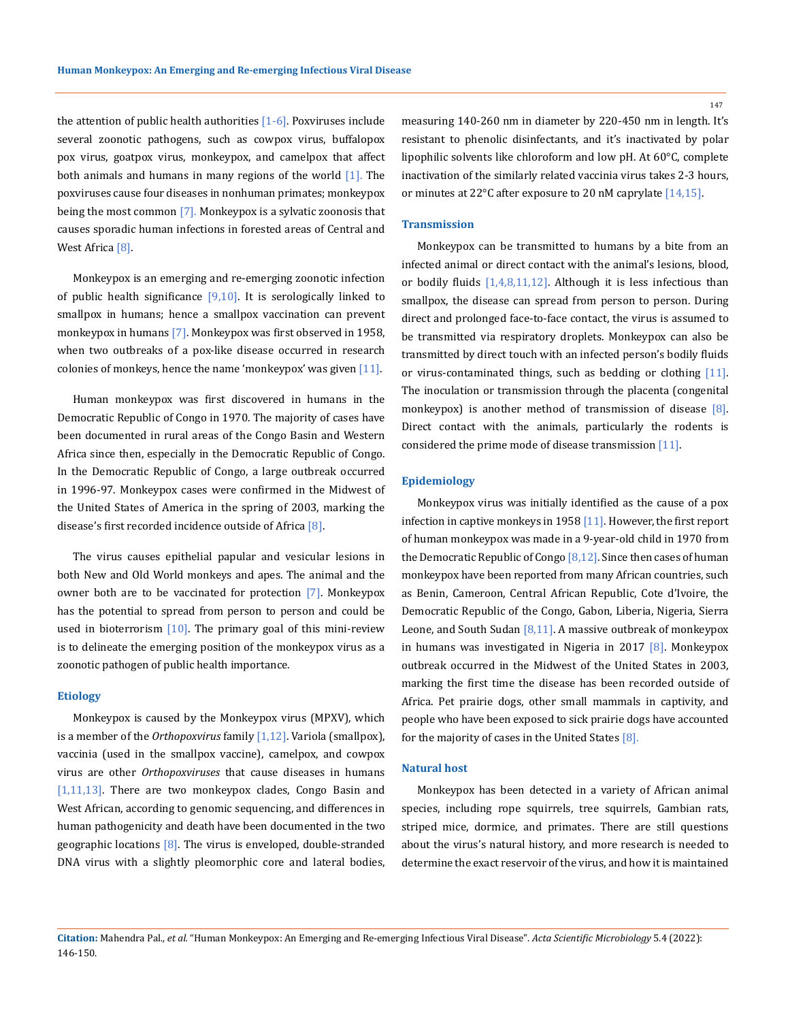the attention of public health authorities  $[1-6]$ . Poxviruses include several zoonotic pathogens, such as cowpox virus, buffalopox pox virus, goatpox virus, monkeypox, and camelpox that affect both animals and humans in many regions of the world [1]. The poxviruses cause four diseases in nonhuman primates; monkeypox being the most common [7]. Monkeypox is a sylvatic zoonosis that causes sporadic human infections in forested areas of Central and West Africa<sup>[8]</sup>.

Monkeypox is an emerging and re-emerging zoonotic infection of public health significance  $[9,10]$ . It is serologically linked to smallpox in humans; hence a smallpox vaccination can prevent monkeypox in humans [7]. Monkeypox was first observed in 1958, when two outbreaks of a pox-like disease occurred in research colonies of monkeys, hence the name 'monkeypox' was given  $[11]$ .

Human monkeypox was first discovered in humans in the Democratic Republic of Congo in 1970. The majority of cases have been documented in rural areas of the Congo Basin and Western Africa since then, especially in the Democratic Republic of Congo. In the Democratic Republic of Congo, a large outbreak occurred in 1996-97. Monkeypox cases were confirmed in the Midwest of the United States of America in the spring of 2003, marking the disease's first recorded incidence outside of Africa [8].

The virus causes epithelial papular and vesicular lesions in both New and Old World monkeys and apes. The animal and the owner both are to be vaccinated for protection [7]. Monkeypox has the potential to spread from person to person and could be used in bioterrorism  $[10]$ . The primary goal of this mini-review is to delineate the emerging position of the monkeypox virus as a zoonotic pathogen of public health importance.

#### **Etiology**

Monkeypox is caused by the Monkeypox virus (MPXV), which is a member of the *Orthopoxvirus* family [1,12]. Variola (smallpox), vaccinia (used in the smallpox vaccine), camelpox, and cowpox virus are other *Orthopoxviruses* that cause diseases in humans [1,11,13]. There are two monkeypox clades, Congo Basin and West African, according to genomic sequencing, and differences in human pathogenicity and death have been documented in the two geographic locations [8]. The virus is enveloped, double-stranded DNA virus with a slightly pleomorphic core and lateral bodies, measuring 140-260 nm in diameter by 220-450 nm in length. It's resistant to phenolic disinfectants, and it's inactivated by polar lipophilic solvents like chloroform and low pH. At 60°C, complete inactivation of the similarly related vaccinia virus takes 2-3 hours, or minutes at 22°C after exposure to 20 nM caprylate [14,15].

#### **Transmission**

Monkeypox can be transmitted to humans by a bite from an infected animal or direct contact with the animal's lesions, blood, or bodily fluids [1,4,8,11,12]. Although it is less infectious than smallpox, the disease can spread from person to person. During direct and prolonged face-to-face contact, the virus is assumed to be transmitted via respiratory droplets. Monkeypox can also be transmitted by direct touch with an infected person's bodily fluids or virus-contaminated things, such as bedding or clothing [11]. The inoculation or transmission through the placenta (congenital monkeypox) is another method of transmission of disease [8]. Direct contact with the animals, particularly the rodents is considered the prime mode of disease transmission [11].

## **Epidemiology**

Monkeypox virus was initially identified as the cause of a pox infection in captive monkeys in 1958 [11]. However, the first report of human monkeypox was made in a 9-year-old child in 1970 from the Democratic Republic of Congo [8,12]. Since then cases of human monkeypox have been reported from many African countries, such as Benin, Cameroon, Central African Republic, Cote d'Ivoire, the Democratic Republic of the Congo, Gabon, Liberia, Nigeria, Sierra Leone, and South Sudan [8,11]. A massive outbreak of monkeypox in humans was investigated in Nigeria in 2017 [8]. Monkeypox outbreak occurred in the Midwest of the United States in 2003, marking the first time the disease has been recorded outside of Africa. Pet prairie dogs, other small mammals in captivity, and people who have been exposed to sick prairie dogs have accounted for the majority of cases in the United States [8].

#### **Natural host**

Monkeypox has been detected in a variety of African animal species, including rope squirrels, tree squirrels, Gambian rats, striped mice, dormice, and primates. There are still questions about the virus's natural history, and more research is needed to determine the exact reservoir of the virus, and how it is maintained

147

**Citation:** Mahendra Pal*., et al.* "Human Monkeypox: An Emerging and Re-emerging Infectious Viral Disease". *Acta Scientific Microbiology* 5.4 (2022): 146-150.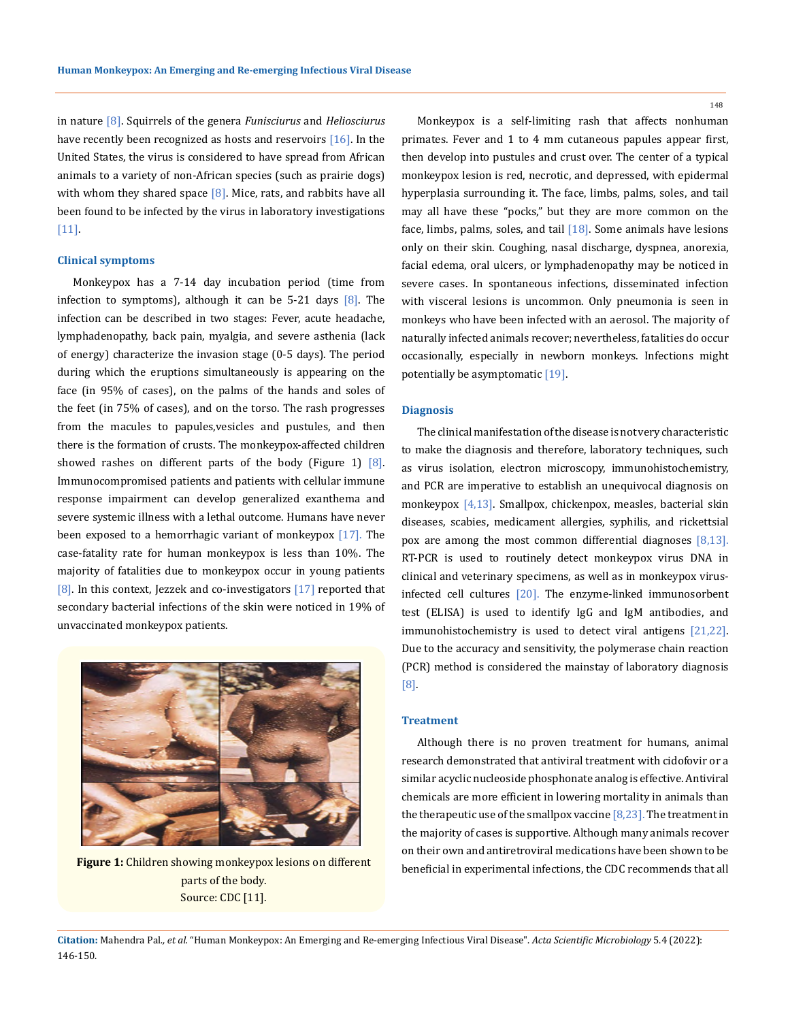in nature [8]. Squirrels of the genera *Funisciurus* and *Heliosciurus* have recently been recognized as hosts and reservoirs  $[16]$ . In the United States, the virus is considered to have spread from African animals to a variety of non-African species (such as prairie dogs) with whom they shared space  $[8]$ . Mice, rats, and rabbits have all been found to be infected by the virus in laboratory investigations [11].

#### **Clinical symptoms**

Monkeypox has a 7-14 day incubation period (time from infection to symptoms), although it can be  $5-21$  days  $[8]$ . The infection can be described in two stages: Fever, acute headache, lymphadenopathy, back pain, myalgia, and severe asthenia (lack of energy) characterize the invasion stage (0-5 days). The period during which the eruptions simultaneously is appearing on the face (in 95% of cases), on the palms of the hands and soles of the feet (in 75% of cases), and on the torso. The rash progresses from the macules to papules,vesicles and pustules, and then there is the formation of crusts. The monkeypox-affected children showed rashes on different parts of the body (Figure 1)  $[8]$ . Immunocompromised patients and patients with cellular immune response impairment can develop generalized exanthema and severe systemic illness with a lethal outcome. Humans have never been exposed to a hemorrhagic variant of monkeypox [17]. The case-fatality rate for human monkeypox is less than 10%. The majority of fatalities due to monkeypox occur in young patients [8]. In this context, Jezzek and co-investigators [17] reported that secondary bacterial infections of the skin were noticed in 19% of unvaccinated monkeypox patients.



parts of the body. Source: CDC [11].

Monkeypox is a self-limiting rash that affects nonhuman primates. Fever and 1 to 4 mm cutaneous papules appear first, then develop into pustules and crust over. The center of a typical monkeypox lesion is red, necrotic, and depressed, with epidermal hyperplasia surrounding it. The face, limbs, palms, soles, and tail may all have these "pocks," but they are more common on the face, limbs, palms, soles, and tail  $[18]$ . Some animals have lesions only on their skin. Coughing, nasal discharge, dyspnea, anorexia, facial edema, oral ulcers, or lymphadenopathy may be noticed in severe cases. In spontaneous infections, disseminated infection with visceral lesions is uncommon. Only pneumonia is seen in monkeys who have been infected with an aerosol. The majority of naturally infected animals recover; nevertheless, fatalities do occur occasionally, especially in newborn monkeys. Infections might potentially be asymptomatic [19].

## **Diagnosis**

The clinical manifestation of the disease is not very characteristic to make the diagnosis and therefore, laboratory techniques, such as virus isolation, electron microscopy, immunohistochemistry, and PCR are imperative to establish an unequivocal diagnosis on monkeypox [4,13]. Smallpox, chickenpox, measles, bacterial skin diseases, scabies, medicament allergies, syphilis, and rickettsial pox are among the most common differential diagnoses [8,13]. RT-PCR is used to routinely detect monkeypox virus DNA in clinical and veterinary specimens, as well as in monkeypox virusinfected cell cultures [20]. The enzyme-linked immunosorbent test (ELISA) is used to identify IgG and IgM antibodies, and immunohistochemistry is used to detect viral antigens [21,22]. Due to the accuracy and sensitivity, the polymerase chain reaction (PCR) method is considered the mainstay of laboratory diagnosis [8].

## **Treatment**

Although there is no proven treatment for humans, animal research demonstrated that antiviral treatment with cidofovir or a similar acyclic nucleoside phosphonate analog is effective. Antiviral chemicals are more efficient in lowering mortality in animals than the therapeutic use of the smallpox vaccine  $[8,23]$ . The treatment in the majority of cases is supportive. Although many animals recover on their own and antiretroviral medications have been shown to be **Figure 1:** Children showing monkeypox lesions on different beneficial in experimental infections, the CDC recommends that all

148

**Citation:** Mahendra Pal*., et al.* "Human Monkeypox: An Emerging and Re-emerging Infectious Viral Disease". *Acta Scientific Microbiology* 5.4 (2022): 146-150.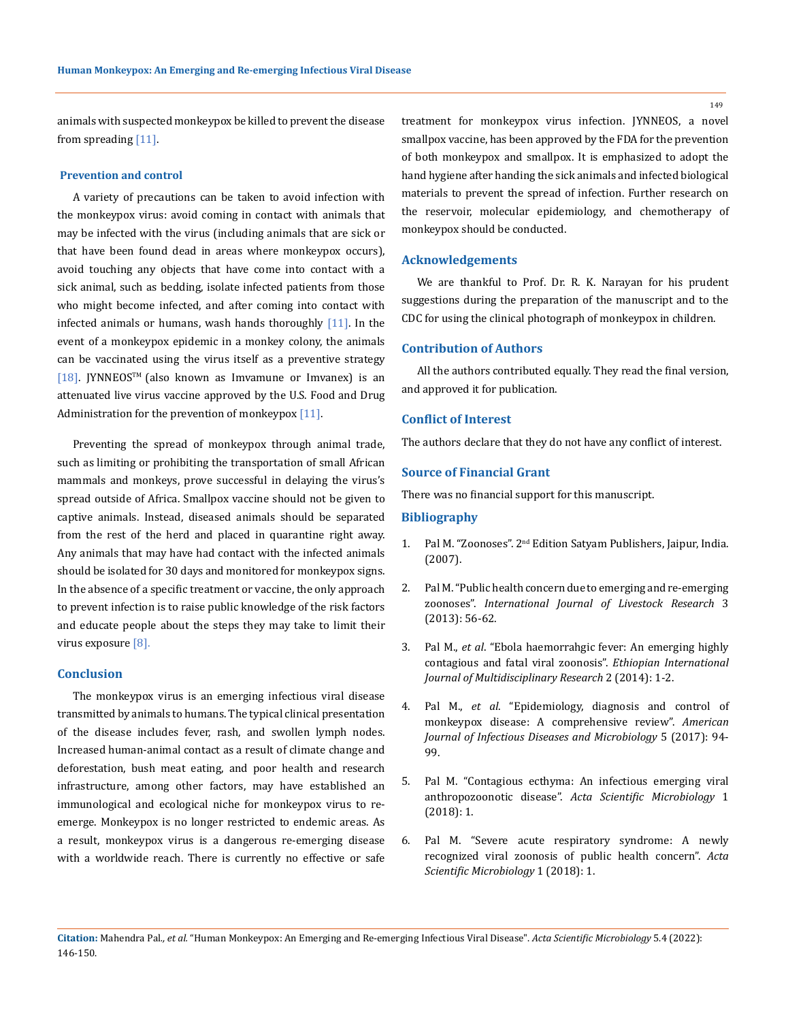149

animals with suspected monkeypox be killed to prevent the disease from spreading [11].

## **Prevention and control**

A variety of precautions can be taken to avoid infection with the monkeypox virus: avoid coming in contact with animals that may be infected with the virus (including animals that are sick or that have been found dead in areas where monkeypox occurs), avoid touching any objects that have come into contact with a sick animal, such as bedding, isolate infected patients from those who might become infected, and after coming into contact with infected animals or humans, wash hands thoroughly  $[11]$ . In the event of a monkeypox epidemic in a monkey colony, the animals can be vaccinated using the virus itself as a preventive strategy [18]. JYNNEOSTM (also known as Imvamune or Imvanex) is an attenuated live virus vaccine approved by the U.S. Food and Drug Administration for the prevention of monkeypox  $[11]$ .

Preventing the spread of monkeypox through animal trade, such as limiting or prohibiting the transportation of small African mammals and monkeys, prove successful in delaying the virus's spread outside of Africa. Smallpox vaccine should not be given to captive animals. Instead, diseased animals should be separated from the rest of the herd and placed in quarantine right away. Any animals that may have had contact with the infected animals should be isolated for 30 days and monitored for monkeypox signs. In the absence of a specific treatment or vaccine, the only approach to prevent infection is to raise public knowledge of the risk factors and educate people about the steps they may take to limit their virus exposure [8].

#### **Conclusion**

The monkeypox virus is an emerging infectious viral disease transmitted by animals to humans. The typical clinical presentation of the disease includes fever, rash, and swollen lymph nodes. Increased human-animal contact as a result of climate change and deforestation, bush meat eating, and poor health and research infrastructure, among other factors, may have established an immunological and ecological niche for monkeypox virus to reemerge. Monkeypox is no longer restricted to endemic areas. As a result, monkeypox virus is a dangerous re-emerging disease with a worldwide reach. There is currently no effective or safe treatment for monkeypox virus infection. JYNNEOS, a novel smallpox vaccine, has been approved by the FDA for the prevention of both monkeypox and smallpox. It is emphasized to adopt the hand hygiene after handing the sick animals and infected biological materials to prevent the spread of infection. Further research on the reservoir, molecular epidemiology, and chemotherapy of monkeypox should be conducted.

#### **Acknowledgements**

We are thankful to Prof. Dr. R. K. Narayan for his prudent suggestions during the preparation of the manuscript and to the CDC for using the clinical photograph of monkeypox in children.

#### **Contribution of Authors**

All the authors contributed equally. They read the final version, and approved it for publication.

## **Conflict of Interest**

The authors declare that they do not have any conflict of interest.

## **Source of Financial Grant**

There was no financial support for this manuscript.

#### **Bibliography**

- 1. Pal M. "Zoonoses". 2<sup>nd</sup> Edition Satyam Publishers, Jaipur, India. (2007).
- 2. [Pal M. "Public health concern due to emerging and re-emerging](https://www.researchgate.net/publication/271675307_Public_Health_Concern_Due_To_Emerging_and_Re-Emerging_Zoonoses)  zoonoses". *[International Journal of Livestock Research](https://www.researchgate.net/publication/271675307_Public_Health_Concern_Due_To_Emerging_and_Re-Emerging_Zoonoses)* 3 [\(2013\): 56-62.](https://www.researchgate.net/publication/271675307_Public_Health_Concern_Due_To_Emerging_and_Re-Emerging_Zoonoses)
- 3. Pal M., *et al*[. "Ebola haemorrahgic fever: An emerging highly](https://www.researchgate.net/publication/271683477_Ebola_hemorrhagic_fever_An_emerging_highly_contagious_and_fatal_viral_zoonosis)  [contagious and fatal viral zoonosis".](https://www.researchgate.net/publication/271683477_Ebola_hemorrhagic_fever_An_emerging_highly_contagious_and_fatal_viral_zoonosis) *Ethiopian International [Journal of Multidisciplinary Research](https://www.researchgate.net/publication/271683477_Ebola_hemorrhagic_fever_An_emerging_highly_contagious_and_fatal_viral_zoonosis)* 2 (2014): 1-2.
- 4. Pal M., *et al*[. "Epidemiology, diagnosis and control of](https://www.researchgate.net/publication/317102568_Epidemiology_Diagnosis_and_Control_of_Monkeypox_Disease_A_comprehensive_Review)  [monkeypox disease: A comprehensive review".](https://www.researchgate.net/publication/317102568_Epidemiology_Diagnosis_and_Control_of_Monkeypox_Disease_A_comprehensive_Review) *American [Journal of Infectious Diseases and Microbiology](https://www.researchgate.net/publication/317102568_Epidemiology_Diagnosis_and_Control_of_Monkeypox_Disease_A_comprehensive_Review)* 5 (2017): 94- [99.](https://www.researchgate.net/publication/317102568_Epidemiology_Diagnosis_and_Control_of_Monkeypox_Disease_A_comprehensive_Review)
- 5. [Pal M. "Contagious ecthyma: An infectious emerging viral](https://actascientific.com/ASMI/pdf/ASMI-01-0008.pdf)  anthropozoonotic disease". *[Acta Scientific Microbiology](https://actascientific.com/ASMI/pdf/ASMI-01-0008.pdf)* 1 [\(2018\): 1.](https://actascientific.com/ASMI/pdf/ASMI-01-0008.pdf)
- 6. [Pal M. "Severe acute respiratory syndrome: A newly](https://actascientific.com/ASMI/pdf/ASMI-01-0059.pdf)  [recognized viral zoonosis of public health concern".](https://actascientific.com/ASMI/pdf/ASMI-01-0059.pdf) *Acta [Scientific Microbiology](https://actascientific.com/ASMI/pdf/ASMI-01-0059.pdf)* 1 (2018): 1.

**Citation:** Mahendra Pal*., et al.* "Human Monkeypox: An Emerging and Re-emerging Infectious Viral Disease". *Acta Scientific Microbiology* 5.4 (2022): 146-150.